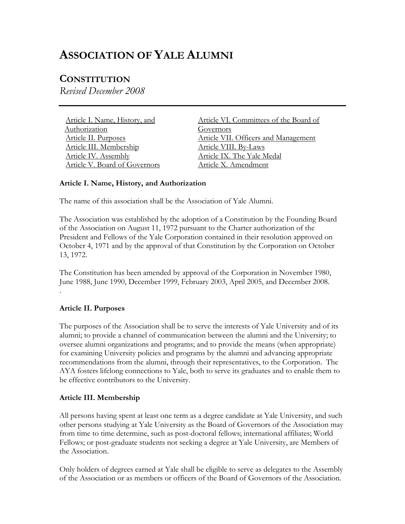# **ASSOCIATION OF YALE ALUMNI**

## **CONSTITUTION**

*Revised December 2008* 

Article I. Name, History, and Authorization Article II. Purposes [Article III. Membership](#page-1-0) [Article IV. Assembly](#page-1-0) [Article V. Board of Governors](#page-5-0)  [Article VI. Committees of the Board of](#page-6-0) Governors [Article VII. Officers and Management](#page-7-0) [Article VIII. By-Laws](#page-8-0) [Article IX. The Yale Medal](#page-8-0)  [Article X. Amendment](#page-8-0) 

#### **Article I. Name, History, and Authorization**

The name of this association shall be the Association of Yale Alumni.

The Association was established by the adoption of a Constitution by the Founding Board of the Association on August 11, 1972 pursuant to the Charter authorization of the President and Fellows of the Yale Corporation contained in their resolution approved on October 4, 1971 and by the approval of that Constitution by the Corporation on October 13, 1972.

The Constitution has been amended by approval of the Corporation in November 1980, June 1988, June 1990, December 1999, February 2003, April 2005, and December 2008. .

## **Article II. Purposes**

The purposes of the Association shall be to serve the interests of Yale University and of its alumni; to provide a channel of communication between the alumni and the University; to oversee alumni organizations and programs; and to provide the means (when appropriate) for examining University policies and programs by the alumni and advancing appropriate recommendations from the alumni, through their representatives, to the Corporation. The AYA fosters lifelong connections to Yale, both to serve its graduates and to enable them to be effective contributors to the University.

#### **Article III. Membership**

All persons having spent at least one term as a degree candidate at Yale University, and such other persons studying at Yale University as the Board of Governors of the Association may from time to time determine, such as post-doctoral fellows; international affiliates; World Fellows; or post-graduate students not seeking a degree at Yale University, are Members of the Association.

Only holders of degrees earned at Yale shall be eligible to serve as delegates to the Assembly of the Association or as members or officers of the Board of Governors of the Association.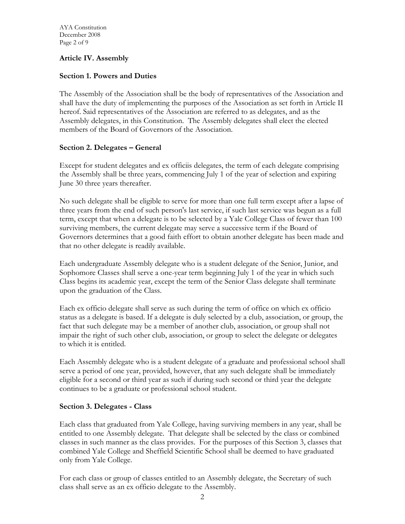<span id="page-1-0"></span>AYA Constitution December 2008 Page 2 of 9

#### **Article IV. Assembly**

## **Section 1. Powers and Duties**

The Assembly of the Association shall be the body of representatives of the Association and shall have the duty of implementing the purposes of the Association as set forth in Article II hereof. Said representatives of the Association are referred to as delegates, and as the Assembly delegates, in this Constitution. The Assembly delegates shall elect the elected members of the Board of Governors of the Association.

## **Section 2. Delegates – General**

Except for student delegates and ex officiis delegates, the term of each delegate comprising the Assembly shall be three years, commencing July 1 of the year of selection and expiring June 30 three years thereafter.

No such delegate shall be eligible to serve for more than one full term except after a lapse of three years from the end of such person's last service, if such last service was begun as a full term, except that when a delegate is to be selected by a Yale College Class of fewer than 100 surviving members, the current delegate may serve a successive term if the Board of Governors determines that a good faith effort to obtain another delegate has been made and that no other delegate is readily available.

Each undergraduate Assembly delegate who is a student delegate of the Senior, Junior, and Sophomore Classes shall serve a one-year term beginning July 1 of the year in which such Class begins its academic year, except the term of the Senior Class delegate shall terminate upon the graduation of the Class.

Each ex officio delegate shall serve as such during the term of office on which ex officio status as a delegate is based. If a delegate is duly selected by a club, association, or group, the fact that such delegate may be a member of another club, association, or group shall not impair the right of such other club, association, or group to select the delegate or delegates to which it is entitled.

Each Assembly delegate who is a student delegate of a graduate and professional school shall serve a period of one year, provided, however, that any such delegate shall be immediately eligible for a second or third year as such if during such second or third year the delegate continues to be a graduate or professional school student.

#### **Section 3. Delegates - Class**

Each class that graduated from Yale College, having surviving members in any year, shall be entitled to one Assembly delegate. That delegate shall be selected by the class or combined classes in such manner as the class provides. For the purposes of this Section 3, classes that combined Yale College and Sheffield Scientific School shall be deemed to have graduated only from Yale College.

For each class or group of classes entitled to an Assembly delegate, the Secretary of such class shall serve as an ex officio delegate to the Assembly.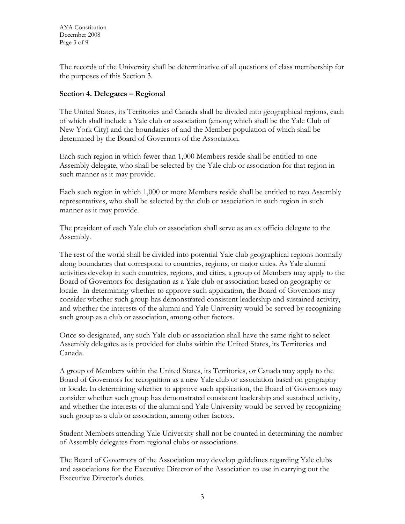The records of the University shall be determinative of all questions of class membership for the purposes of this Section 3.

## **Section 4. Delegates – Regional**

The United States, its Territories and Canada shall be divided into geographical regions, each of which shall include a Yale club or association (among which shall be the Yale Club of New York City) and the boundaries of and the Member population of which shall be determined by the Board of Governors of the Association.

Each such region in which fewer than 1,000 Members reside shall be entitled to one Assembly delegate, who shall be selected by the Yale club or association for that region in such manner as it may provide.

Each such region in which 1,000 or more Members reside shall be entitled to two Assembly representatives, who shall be selected by the club or association in such region in such manner as it may provide.

The president of each Yale club or association shall serve as an ex officio delegate to the Assembly.

The rest of the world shall be divided into potential Yale club geographical regions normally along boundaries that correspond to countries, regions, or major cities. As Yale alumni activities develop in such countries, regions, and cities, a group of Members may apply to the Board of Governors for designation as a Yale club or association based on geography or locale. In determining whether to approve such application, the Board of Governors may consider whether such group has demonstrated consistent leadership and sustained activity, and whether the interests of the alumni and Yale University would be served by recognizing such group as a club or association, among other factors.

Once so designated, any such Yale club or association shall have the same right to select Assembly delegates as is provided for clubs within the United States, its Territories and Canada.

A group of Members within the United States, its Territories, or Canada may apply to the Board of Governors for recognition as a new Yale club or association based on geography or locale. In determining whether to approve such application, the Board of Governors may consider whether such group has demonstrated consistent leadership and sustained activity, and whether the interests of the alumni and Yale University would be served by recognizing such group as a club or association, among other factors.

Student Members attending Yale University shall not be counted in determining the number of Assembly delegates from regional clubs or associations.

The Board of Governors of the Association may develop guidelines regarding Yale clubs and associations for the Executive Director of the Association to use in carrying out the Executive Director's duties.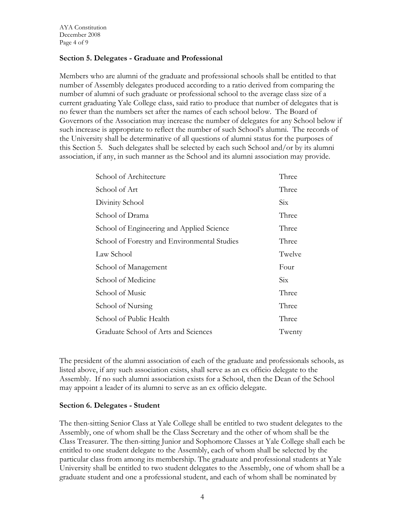## **Section 5. Delegates - Graduate and Professional**

Members who are alumni of the graduate and professional schools shall be entitled to that number of Assembly delegates produced according to a ratio derived from comparing the number of alumni of such graduate or professional school to the average class size of a current graduating Yale College class, said ratio to produce that number of delegates that is no fewer than the numbers set after the names of each school below. The Board of Governors of the Association may increase the number of delegates for any School below if such increase is appropriate to reflect the number of such School's alumni. The records of the University shall be determinative of all questions of alumni status for the purposes of this Section 5. Such delegates shall be selected by each such School and/or by its alumni association, if any, in such manner as the School and its alumni association may provide.

| School of Architecture                       | Three                   |
|----------------------------------------------|-------------------------|
| School of Art                                | Three                   |
| Divinity School                              | $\overline{\text{Six}}$ |
| School of Drama                              | Three                   |
| School of Engineering and Applied Science    | Three                   |
| School of Forestry and Environmental Studies | Three                   |
| Law School                                   | Twelve                  |
| School of Management                         | Four                    |
| School of Medicine                           | Six                     |
| School of Music                              | Three                   |
| School of Nursing                            | Three                   |
| School of Public Health                      | Three                   |
| Graduate School of Arts and Sciences         | Twenty                  |

The president of the alumni association of each of the graduate and professionals schools, as listed above, if any such association exists, shall serve as an ex officio delegate to the Assembly. If no such alumni association exists for a School, then the Dean of the School may appoint a leader of its alumni to serve as an ex officio delegate.

#### **Section 6. Delegates - Student**

The then-sitting Senior Class at Yale College shall be entitled to two student delegates to the Assembly, one of whom shall be the Class Secretary and the other of whom shall be the Class Treasurer. The then-sitting Junior and Sophomore Classes at Yale College shall each be entitled to one student delegate to the Assembly, each of whom shall be selected by the particular class from among its membership. The graduate and professional students at Yale University shall be entitled to two student delegates to the Assembly, one of whom shall be a graduate student and one a professional student, and each of whom shall be nominated by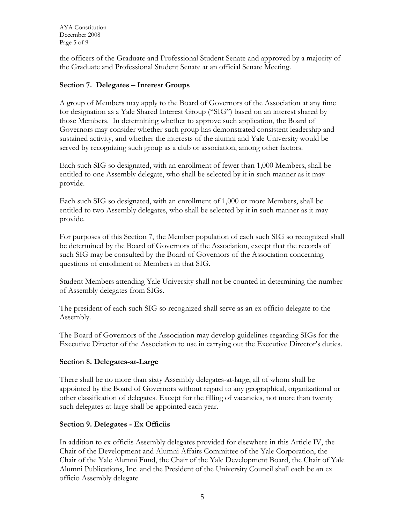AYA Constitution December 2008 Page 5 of 9

the officers of the Graduate and Professional Student Senate and approved by a majority of the Graduate and Professional Student Senate at an official Senate Meeting.

#### **Section 7. Delegates – Interest Groups**

A group of Members may apply to the Board of Governors of the Association at any time for designation as a Yale Shared Interest Group ("SIG") based on an interest shared by those Members. In determining whether to approve such application, the Board of Governors may consider whether such group has demonstrated consistent leadership and sustained activity, and whether the interests of the alumni and Yale University would be served by recognizing such group as a club or association, among other factors.

Each such SIG so designated, with an enrollment of fewer than 1,000 Members, shall be entitled to one Assembly delegate, who shall be selected by it in such manner as it may provide.

Each such SIG so designated, with an enrollment of 1,000 or more Members, shall be entitled to two Assembly delegates, who shall be selected by it in such manner as it may provide.

For purposes of this Section 7, the Member population of each such SIG so recognized shall be determined by the Board of Governors of the Association, except that the records of such SIG may be consulted by the Board of Governors of the Association concerning questions of enrollment of Members in that SIG.

Student Members attending Yale University shall not be counted in determining the number of Assembly delegates from SIGs.

The president of each such SIG so recognized shall serve as an ex officio delegate to the Assembly.

The Board of Governors of the Association may develop guidelines regarding SIGs for the Executive Director of the Association to use in carrying out the Executive Director's duties.

#### **Section 8. Delegates-at-Large**

There shall be no more than sixty Assembly delegates-at-large, all of whom shall be appointed by the Board of Governors without regard to any geographical, organizational or other classification of delegates. Except for the filling of vacancies, not more than twenty such delegates-at-large shall be appointed each year.

#### **Section 9. Delegates - Ex Officiis**

In addition to ex officiis Assembly delegates provided for elsewhere in this Article IV, the Chair of the Development and Alumni Affairs Committee of the Yale Corporation, the Chair of the Yale Alumni Fund, the Chair of the Yale Development Board, the Chair of Yale Alumni Publications, Inc. and the President of the University Council shall each be an ex officio Assembly delegate.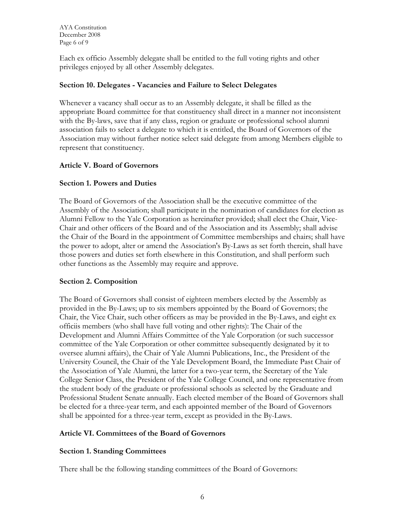<span id="page-5-0"></span>AYA Constitution December 2008 Page 6 of 9

Each ex officio Assembly delegate shall be entitled to the full voting rights and other privileges enjoyed by all other Assembly delegates.

#### **Section 10. Delegates - Vacancies and Failure to Select Delegates**

Whenever a vacancy shall occur as to an Assembly delegate, it shall be filled as the appropriate Board committee for that constituency shall direct in a manner not inconsistent with the By-laws, save that if any class, region or graduate or professional school alumni association fails to select a delegate to which it is entitled, the Board of Governors of the Association may without further notice select said delegate from among Members eligible to represent that constituency.

## **Article V. Board of Governors**

## **Section 1. Powers and Duties**

The Board of Governors of the Association shall be the executive committee of the Assembly of the Association; shall participate in the nomination of candidates for election as Alumni Fellow to the Yale Corporation as hereinafter provided; shall elect the Chair, Vice-Chair and other officers of the Board and of the Association and its Assembly; shall advise the Chair of the Board in the appointment of Committee memberships and chairs; shall have the power to adopt, alter or amend the Association's By-Laws as set forth therein, shall have those powers and duties set forth elsewhere in this Constitution, and shall perform such other functions as the Assembly may require and approve.

#### **Section 2. Composition**

The Board of Governors shall consist of eighteen members elected by the Assembly as provided in the By-Laws; up to six members appointed by the Board of Governors; the Chair, the Vice Chair, such other officers as may be provided in the By-Laws, and eight ex officiis members (who shall have full voting and other rights): The Chair of the Development and Alumni Affairs Committee of the Yale Corporation (or such successor committee of the Yale Corporation or other committee subsequently designated by it to oversee alumni affairs), the Chair of Yale Alumni Publications, Inc., the President of the University Council, the Chair of the Yale Development Board, the Immediate Past Chair of the Association of Yale Alumni, the latter for a two-year term, the Secretary of the Yale College Senior Class, the President of the Yale College Council, and one representative from the student body of the graduate or professional schools as selected by the Graduate and Professional Student Senate annually. Each elected member of the Board of Governors shall be elected for a three-year term, and each appointed member of the Board of Governors shall be appointed for a three-year term, except as provided in the By-Laws.

## **Article VI. Committees of the Board of Governors**

## **Section 1. Standing Committees**

There shall be the following standing committees of the Board of Governors: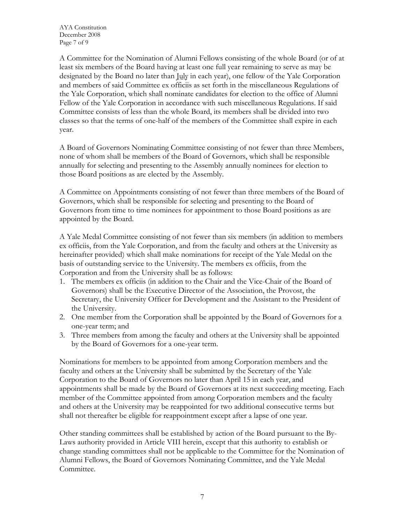<span id="page-6-0"></span>AYA Constitution December 2008 Page 7 of 9

A Committee for the Nomination of Alumni Fellows consisting of the whole Board (or of at least six members of the Board having at least one full year remaining to serve as may be designated by the Board no later than *July* in each year), one fellow of the Yale Corporation and members of said Committee ex officiis as set forth in the miscellaneous Regulations of the Yale Corporation, which shall nominate candidates for election to the office of Alumni Fellow of the Yale Corporation in accordance with such miscellaneous Regulations. If said Committee consists of less than the whole Board, its members shall be divided into two classes so that the terms of one-half of the members of the Committee shall expire in each year.

A Board of Governors Nominating Committee consisting of not fewer than three Members, none of whom shall be members of the Board of Governors, which shall be responsible annually for selecting and presenting to the Assembly annually nominees for election to those Board positions as are elected by the Assembly.

A Committee on Appointments consisting of not fewer than three members of the Board of Governors, which shall be responsible for selecting and presenting to the Board of Governors from time to time nominees for appointment to those Board positions as are appointed by the Board.

A Yale Medal Committee consisting of not fewer than six members (in addition to members ex officiis, from the Yale Corporation, and from the faculty and others at the University as hereinafter provided) which shall make nominations for receipt of the Yale Medal on the basis of outstanding service to the University. The members ex officiis, from the Corporation and from the University shall be as follows:

- 1. The members ex officiis (in addition to the Chair and the Vice-Chair of the Board of Governors) shall be the Executive Director of the Association, the Provost, the Secretary, the University Officer for Development and the Assistant to the President of the University.
- 2. One member from the Corporation shall be appointed by the Board of Governors for a one-year term; and
- 3. Three members from among the faculty and others at the University shall be appointed by the Board of Governors for a one-year term.

Nominations for members to be appointed from among Corporation members and the faculty and others at the University shall be submitted by the Secretary of the Yale Corporation to the Board of Governors no later than April 15 in each year, and appointments shall be made by the Board of Governors at its next succeeding meeting. Each member of the Committee appointed from among Corporation members and the faculty and others at the University may be reappointed for two additional consecutive terms but shall not thereafter be eligible for reappointment except after a lapse of one year.

Other standing committees shall be established by action of the Board pursuant to the By-Laws authority provided in Article VIII herein, except that this authority to establish or change standing committees shall not be applicable to the Committee for the Nomination of Alumni Fellows, the Board of Governors Nominating Committee, and the Yale Medal Committee.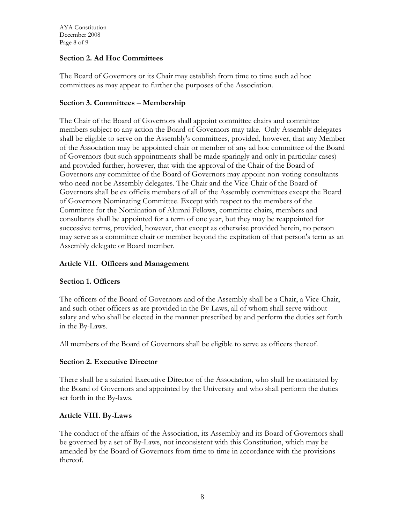## <span id="page-7-0"></span>**Section 2. Ad Hoc Committees**

The Board of Governors or its Chair may establish from time to time such ad hoc committees as may appear to further the purposes of the Association.

## **Section 3. Committees – Membership**

The Chair of the Board of Governors shall appoint committee chairs and committee members subject to any action the Board of Governors may take. Only Assembly delegates shall be eligible to serve on the Assembly's committees, provided, however, that any Member of the Association may be appointed chair or member of any ad hoc committee of the Board of Governors (but such appointments shall be made sparingly and only in particular cases) and provided further, however, that with the approval of the Chair of the Board of Governors any committee of the Board of Governors may appoint non-voting consultants who need not be Assembly delegates. The Chair and the Vice-Chair of the Board of Governors shall be ex officiis members of all of the Assembly committees except the Board of Governors Nominating Committee. Except with respect to the members of the Committee for the Nomination of Alumni Fellows, committee chairs, members and consultants shall be appointed for a term of one year, but they may be reappointed for successive terms, provided, however, that except as otherwise provided herein, no person may serve as a committee chair or member beyond the expiration of that person's term as an Assembly delegate or Board member.

## **Article VII. Officers and Management**

#### **Section 1. Officers**

The officers of the Board of Governors and of the Assembly shall be a Chair, a Vice-Chair, and such other officers as are provided in the By-Laws, all of whom shall serve without salary and who shall be elected in the manner prescribed by and perform the duties set forth in the By-Laws.

All members of the Board of Governors shall be eligible to serve as officers thereof.

## **Section 2. Executive Director**

There shall be a salaried Executive Director of the Association, who shall be nominated by the Board of Governors and appointed by the University and who shall perform the duties set forth in the By-laws.

#### **Article VIII. By-Laws**

The conduct of the affairs of the Association, its Assembly and its Board of Governors shall be governed by a set of By-Laws, not inconsistent with this Constitution, which may be amended by the Board of Governors from time to time in accordance with the provisions thereof.